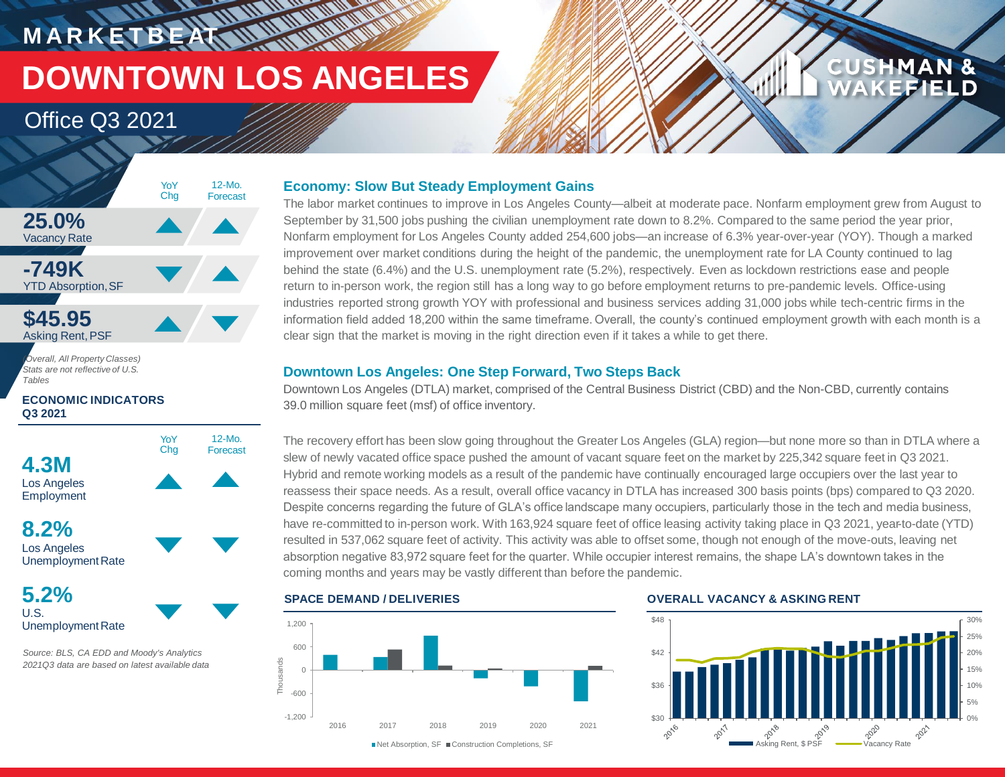# **MARKETBEAN WARDER DOWNTOWN LOS ANGELES**

### Office Q3 2021



*Stats are not reflective of U.S. Tables* 

#### **ECONOMIC INDICATORS Q3 2021**



Los Angeles Unemployment Rate

**5.2%** U.S. Unemployment Rate

*Source: BLS, CA EDD and Moody's Analytics 2021Q3 data are based on latest available data*

#### **Economy: Slow But Steady Employment Gains**

The labor market continues to improve in Los Angeles County—albeit at moderate pace. Nonfarm employment grew from August to September by 31,500 jobs pushing the civilian unemployment rate down to 8.2%. Compared to the same period the year prior, Nonfarm employment for Los Angeles County added 254,600 jobs—an increase of 6.3% year-over-year (YOY). Though a marked improvement over market conditions during the height of the pandemic, the unemployment rate for LA County continued to lag behind the state (6.4%) and the U.S. unemployment rate (5.2%), respectively. Even as lockdown restrictions ease and people return to in-person work, the region still has a long way to go before employment returns to pre-pandemic levels. Office-using industries reported strong growth YOY with professional and business services adding 31,000 jobs while tech-centric firms in the information field added 18,200 within the same timeframe. Overall, the county's continued employment growth with each month is a clear sign that the market is moving in the right direction even if it takes a while to get there.

#### **Downtown Los Angeles: One Step Forward, Two Steps Back**

Downtown Los Angeles (DTLA) market, comprised of the Central Business District (CBD) and the Non-CBD, currently contains 39.0 million square feet (msf) of office inventory.

The recovery effort has been slow going throughout the Greater Los Angeles (GLA) region—but none more so than in DTLA where a slew of newly vacated office space pushed the amount of vacant square feet on the market by 225,342 square feet in Q3 2021. Hybrid and remote working models as a result of the pandemic have continually encouraged large occupiers over the last year to reassess their space needs. As a result, overall office vacancy in DTLA has increased 300 basis points (bps) compared to Q3 2020. Despite concerns regarding the future of GLA's office landscape many occupiers, particularly those in the tech and media business, have re-committed to in-person work. With 163,924 square feet of office leasing activity taking place in Q3 2021, year-to-date (YTD) resulted in 537,062 square feet of activity. This activity was able to offset some, though not enough of the move-outs, leaving net absorption negative 83,972 square feet for the quarter. While occupier interest remains, the shape LA's downtown takes in the coming months and years may be vastly different than before the pandemic.

#### -1,200 -600  $\Omega$ 600 1,200 2016 2017 2018 2019 2020 2021 Thousands ■Net Absorption, SF ■Construction Completions, SF

#### **SPACE DEMAND / DELIVERIES OVERALL VACANCY & ASKING RENT**



**CUSHMAN &** 

**FEIEID**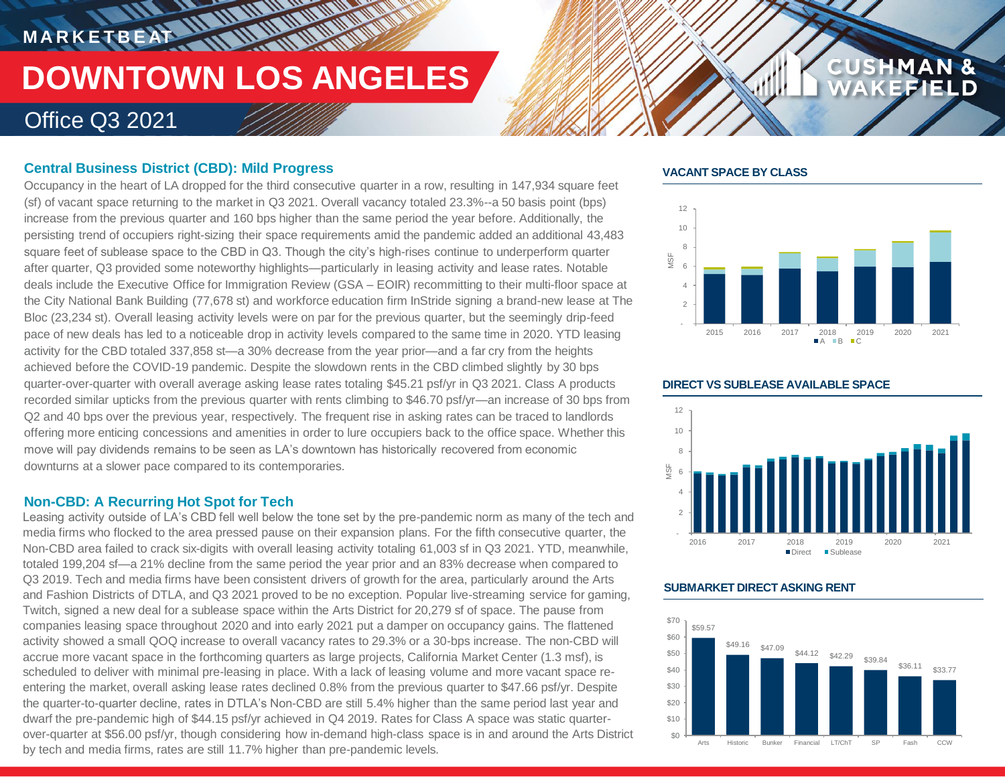# **MARKETBEAT 11.11.11.11.11.11**

## **DOWNTOWN LOS ANGELES**

**THE AN ANTIQUE REPORT** 

### Office Q3 2021

#### **Central Business District (CBD): Mild Progress**

Occupancy in the heart of LA dropped for the third consecutive quarter in a row, resulting in 147,934 square feet (sf) of vacant space returning to the market in Q3 2021. Overall vacancy totaled 23.3%--a 50 basis point (bps) increase from the previous quarter and 160 bps higher than the same period the year before. Additionally, the persisting trend of occupiers right-sizing their space requirements amid the pandemic added an additional 43,483 square feet of sublease space to the CBD in Q3. Though the city's high-rises continue to underperform quarter after quarter, Q3 provided some noteworthy highlights—particularly in leasing activity and lease rates. Notable deals include the Executive Office for Immigration Review (GSA – EOIR) recommitting to their multi-floor space at the City National Bank Building (77,678 st) and workforce education firm InStride signing a brand-new lease at The Bloc (23,234 st). Overall leasing activity levels were on par for the previous quarter, but the seemingly drip-feed pace of new deals has led to a noticeable drop in activity levels compared to the same time in 2020. YTD leasing activity for the CBD totaled 337,858 st—a 30% decrease from the year prior—and a far cry from the heights achieved before the COVID-19 pandemic. Despite the slowdown rents in the CBD climbed slightly by 30 bps quarter-over-quarter with overall average asking lease rates totaling \$45.21 psf/yr in Q3 2021. Class A products recorded similar upticks from the previous quarter with rents climbing to \$46.70 psf/yr—an increase of 30 bps from Q2 and 40 bps over the previous year, respectively. The frequent rise in asking rates can be traced to landlords offering more enticing concessions and amenities in order to lure occupiers back to the office space. Whether this move will pay dividends remains to be seen as LA's downtown has historically recovered from economic downturns at a slower pace compared to its contemporaries.

#### **Non-CBD: A Recurring Hot Spot for Tech**

Leasing activity outside of LA's CBD fell well below the tone set by the pre-pandemic norm as many of the tech and media firms who flocked to the area pressed pause on their expansion plans. For the fifth consecutive quarter, the Non-CBD area failed to crack six-digits with overall leasing activity totaling 61,003 sf in Q3 2021. YTD, meanwhile, totaled 199,204 sf—a 21% decline from the same period the year prior and an 83% decrease when compared to Q3 2019. Tech and media firms have been consistent drivers of growth for the area, particularly around the Arts and Fashion Districts of DTLA, and Q3 2021 proved to be no exception. Popular live-streaming service for gaming, Twitch, signed a new deal for a sublease space within the Arts District for 20,279 sf of space. The pause from companies leasing space throughout 2020 and into early 2021 put a damper on occupancy gains. The flattened activity showed a small QOQ increase to overall vacancy rates to 29.3% or a 30-bps increase. The non-CBD will accrue more vacant space in the forthcoming quarters as large projects, California Market Center (1.3 msf), is scheduled to deliver with minimal pre-leasing in place. With a lack of leasing volume and more vacant space reentering the market, overall asking lease rates declined 0.8% from the previous quarter to \$47.66 psf/yr. Despite the quarter-to-quarter decline, rates in DTLA's Non-CBD are still 5.4% higher than the same period last year and dwarf the pre-pandemic high of \$44.15 psf/yr achieved in Q4 2019. Rates for Class A space was static quarterover-quarter at \$56.00 psf/yr, though considering how in-demand high-class space is in and around the Arts District by tech and media firms, rates are still 11.7% higher than pre-pandemic levels.

#### **VACANT SPACE BY CLASS**



**CUSHMAN &** 

FIELD



#### **SUBMARKET DIRECT ASKING RENT**



#### **DIRECT VS SUBLEASE AVAILABLE SPACE**